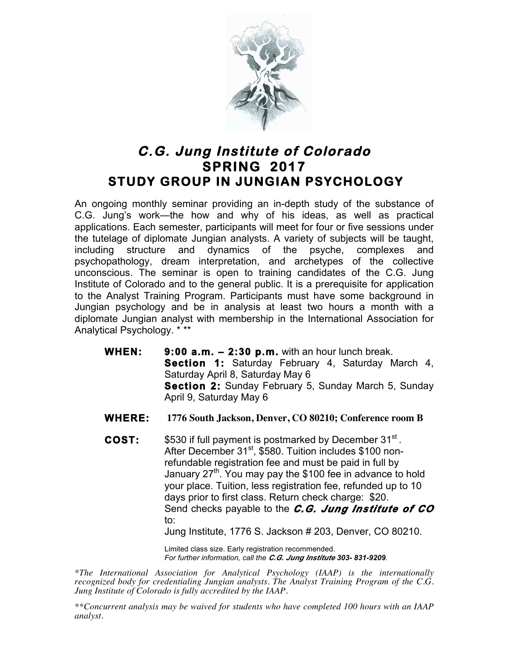

## **C.G. Jung Institute of Colorado SPRING 2017 STUDY GROUP IN JUNGIAN PSYCHOLOGY**

An ongoing monthly seminar providing an in-depth study of the substance of C.G. Jung's work—the how and why of his ideas, as well as practical applications. Each semester, participants will meet for four or five sessions under the tutelage of diplomate Jungian analysts. A variety of subjects will be taught, including structure and dynamics of the psyche, complexes and psychopathology, dream interpretation, and archetypes of the collective unconscious. The seminar is open to training candidates of the C.G. Jung Institute of Colorado and to the general public. It is a prerequisite for application to the Analyst Training Program. Participants must have some background in Jungian psychology and be in analysis at least two hours a month with a diplomate Jungian analyst with membership in the International Association for Analytical Psychology. \* \*\*

- **WHEN: 9:00 a.m. 2:30 p.m.** with an hour lunch break. **Section 1:** Saturday February 4, Saturday March 4, Saturday April 8, Saturday May 6 **Section 2:** Sunday February 5, Sunday March 5, Sunday April 9, Saturday May 6
- **WHERE: 1776 South Jackson, Denver, CO 80210; Conference room B**
- **COST:** \$530 if full payment is postmarked by December 31<sup>st</sup>. After December 31<sup>st</sup>, \$580. Tuition includes \$100 nonrefundable registration fee and must be paid in full by January 27<sup>th</sup>. You may pay the \$100 fee in advance to hold your place. Tuition, less registration fee, refunded up to 10 days prior to first class. Return check charge: \$20. Send checks payable to the *C.G. Jung Institute of CO* to:

Jung Institute, 1776 S. Jackson # 203, Denver, CO 80210.

Limited class size. Early registration recommended. *For further information, call the C.G. Jung Institute 303- 831-9209.*

*\*The International Association for Analytical Psychology (IAAP) is the internationally recognized body for credentialing Jungian analysts. The Analyst Training Program of the C.G. Jung Institute of Colorado is fully accredited by the IAAP.* 

*\*\*Concurrent analysis may be waived for students who have completed 100 hours with an IAAP analyst.*